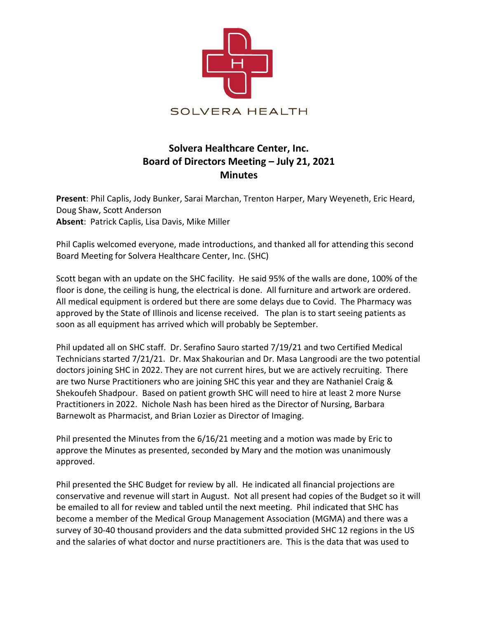

## **Solvera Healthcare Center, Inc. Board of Directors Meeting – July 21, 2021 Minutes**

**Present**: Phil Caplis, Jody Bunker, Sarai Marchan, Trenton Harper, Mary Weyeneth, Eric Heard, Doug Shaw, Scott Anderson **Absent**: Patrick Caplis, Lisa Davis, Mike Miller

Phil Caplis welcomed everyone, made introductions, and thanked all for attending this second Board Meeting for Solvera Healthcare Center, Inc. (SHC)

Scott began with an update on the SHC facility. He said 95% of the walls are done, 100% of the floor is done, the ceiling is hung, the electrical is done. All furniture and artwork are ordered. All medical equipment is ordered but there are some delays due to Covid. The Pharmacy was approved by the State of Illinois and license received. The plan is to start seeing patients as soon as all equipment has arrived which will probably be September.

Phil updated all on SHC staff. Dr. Serafino Sauro started 7/19/21 and two Certified Medical Technicians started 7/21/21. Dr. Max Shakourian and Dr. Masa Langroodi are the two potential doctors joining SHC in 2022. They are not current hires, but we are actively recruiting. There are two Nurse Practitioners who are joining SHC this year and they are Nathaniel Craig & Shekoufeh Shadpour. Based on patient growth SHC will need to hire at least 2 more Nurse Practitioners in 2022. Nichole Nash has been hired as the Director of Nursing, Barbara Barnewolt as Pharmacist, and Brian Lozier as Director of Imaging.

Phil presented the Minutes from the 6/16/21 meeting and a motion was made by Eric to approve the Minutes as presented, seconded by Mary and the motion was unanimously approved.

Phil presented the SHC Budget for review by all. He indicated all financial projections are conservative and revenue will start in August. Not all present had copies of the Budget so it will be emailed to all for review and tabled until the next meeting. Phil indicated that SHC has become a member of the Medical Group Management Association (MGMA) and there was a survey of 30-40 thousand providers and the data submitted provided SHC 12 regions in the US and the salaries of what doctor and nurse practitioners are. This is the data that was used to